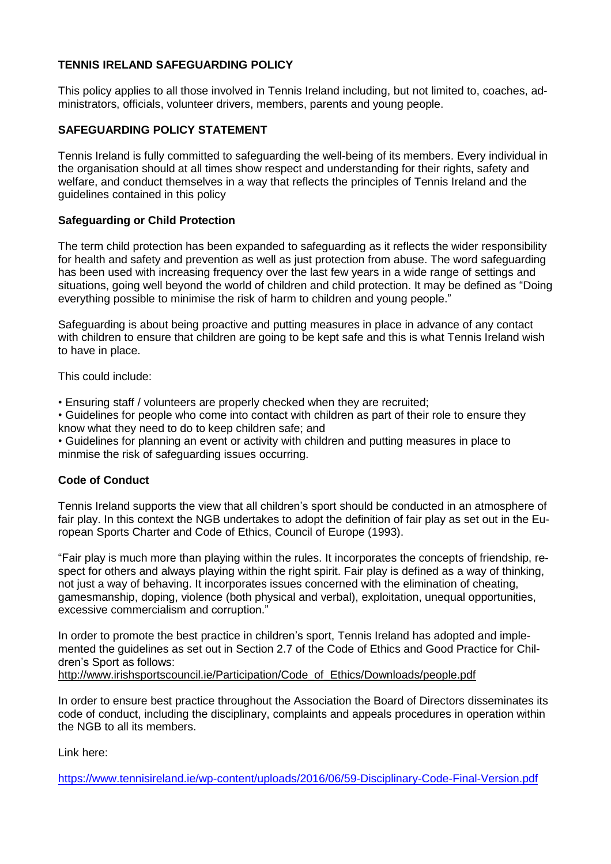# **TENNIS IRELAND SAFEGUARDING POLICY**

This policy applies to all those involved in Tennis Ireland including, but not limited to, coaches, administrators, officials, volunteer drivers, members, parents and young people.

# **SAFEGUARDING POLICY STATEMENT**

Tennis Ireland is fully committed to safeguarding the well-being of its members. Every individual in the organisation should at all times show respect and understanding for their rights, safety and welfare, and conduct themselves in a way that reflects the principles of Tennis Ireland and the guidelines contained in this policy

## **Safeguarding or Child Protection**

The term child protection has been expanded to safeguarding as it reflects the wider responsibility for health and safety and prevention as well as just protection from abuse. The word safeguarding has been used with increasing frequency over the last few years in a wide range of settings and situations, going well beyond the world of children and child protection. It may be defined as "Doing everything possible to minimise the risk of harm to children and young people."

Safeguarding is about being proactive and putting measures in place in advance of any contact with children to ensure that children are going to be kept safe and this is what Tennis Ireland wish to have in place.

This could include:

• Ensuring staff / volunteers are properly checked when they are recruited;

• Guidelines for people who come into contact with children as part of their role to ensure they know what they need to do to keep children safe; and

• Guidelines for planning an event or activity with children and putting measures in place to minmise the risk of safeguarding issues occurring.

### **Code of Conduct**

Tennis Ireland supports the view that all children's sport should be conducted in an atmosphere of fair play. In this context the NGB undertakes to adopt the definition of fair play as set out in the European Sports Charter and Code of Ethics, Council of Europe (1993).

"Fair play is much more than playing within the rules. It incorporates the concepts of friendship, respect for others and always playing within the right spirit. Fair play is defined as a way of thinking, not just a way of behaving. It incorporates issues concerned with the elimination of cheating, gamesmanship, doping, violence (both physical and verbal), exploitation, unequal opportunities, excessive commercialism and corruption."

In order to promote the best practice in children's sport, Tennis Ireland has adopted and implemented the guidelines as set out in Section 2.7 of the Code of Ethics and Good Practice for Children's Sport as follows:

[http://www.irishsportscouncil.ie/Participation/Code\\_of\\_Ethics/Downloads/people.pdf](http://www.irishsportscouncil.ie/Participation/Code_of_Ethics/Downloads/people.pdf)

In order to ensure best practice throughout the Association the Board of Directors disseminates its code of conduct, including the disciplinary, complaints and appeals procedures in operation within the NGB to all its members.

Link here:

<https://www.tennisireland.ie/wp-content/uploads/2016/06/59-Disciplinary-Code-Final-Version.pdf>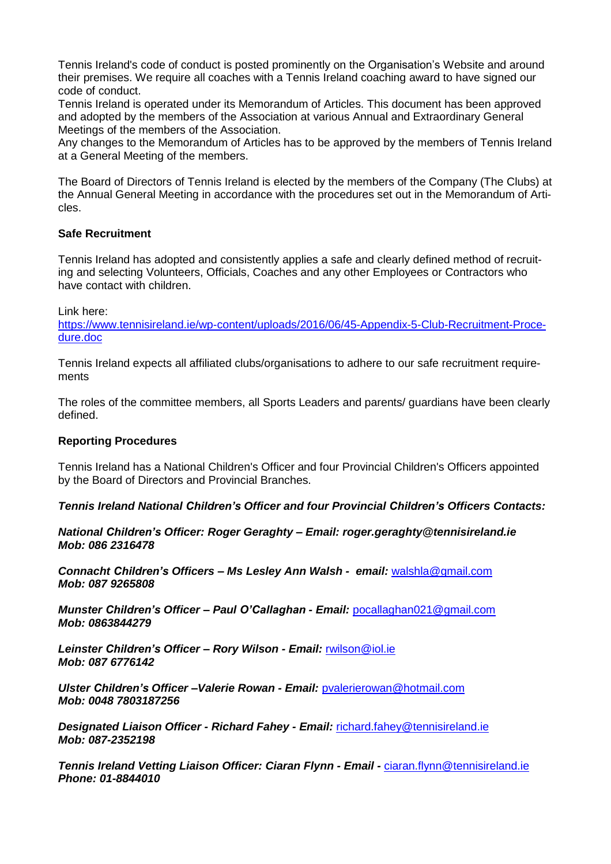Tennis Ireland's code of conduct is posted prominently on the Organisation's Website and around their premises. We require all coaches with a Tennis Ireland coaching award to have signed our code of conduct.

Tennis Ireland is operated under its Memorandum of Articles. This document has been approved and adopted by the members of the Association at various Annual and Extraordinary General Meetings of the members of the Association.

Any changes to the Memorandum of Articles has to be approved by the members of Tennis Ireland at a General Meeting of the members.

The Board of Directors of Tennis Ireland is elected by the members of the Company (The Clubs) at the Annual General Meeting in accordance with the procedures set out in the Memorandum of Articles.

### **Safe Recruitment**

Tennis Ireland has adopted and consistently applies a safe and clearly defined method of recruiting and selecting Volunteers, Officials, Coaches and any other Employees or Contractors who have contact with children.

Link here:

[https://www.tennisireland.ie/wp-content/uploads/2016/06/45-Appendix-5-Club-Recruitment-Proce](https://www.tennisireland.ie/wp-content/uploads/2016/06/45-Appendix-5-Club-Recruitment-Procedure.doc)[dure.doc](https://www.tennisireland.ie/wp-content/uploads/2016/06/45-Appendix-5-Club-Recruitment-Procedure.doc)

Tennis Ireland expects all affiliated clubs/organisations to adhere to our safe recruitment requirements

The roles of the committee members, all Sports Leaders and parents/ guardians have been clearly defined.

#### **Reporting Procedures**

Tennis Ireland has a National Children's Officer and four Provincial Children's Officers appointed by the Board of Directors and Provincial Branches.

*Tennis Ireland National Children's Officer and four Provincial Children's Officers Contacts:*

*National Children's Officer: Roger Geraghty – Email: roger.geraghty@tennisireland.ie Mob: 086 2316478*

*Connacht Children's Officers – Ms Lesley Ann Walsh - email:* [walshla@gmail.com](mailto:walshla@gmail.com) *Mob: 087 9265808*

*Munster Children's Officer – Paul O'Callaghan - Email:* [pocallaghan021@gmail.com](mailto:pocallaghan021@gmail.com) *Mob: 0863844279*

*Leinster Children's Officer – Rory Wilson - Email:* [rwilson@iol.ie](mailto:rwilson@iol.ie) *Mob: 087 6776142*

*Ulster Children's Officer –Valerie Rowan - Email:* [pvalerierowan@hotmail.com](mailto:pvalerierowan@hotmail.com) *Mob: 0048 7803187256*

*Designated Liaison Officer - Richard Fahey - Email:* [richard.fahey@tennisireland.ie](mailto:richard.fahey@tennisireland.ie) *Mob: 087-2352198*

*Tennis Ireland Vetting Liaison Officer: Ciaran Flynn - Email -* [ciaran.flynn@tennisireland.ie](mailto:ciaran.flynn@tennisireland.ie) *Phone: 01-8844010*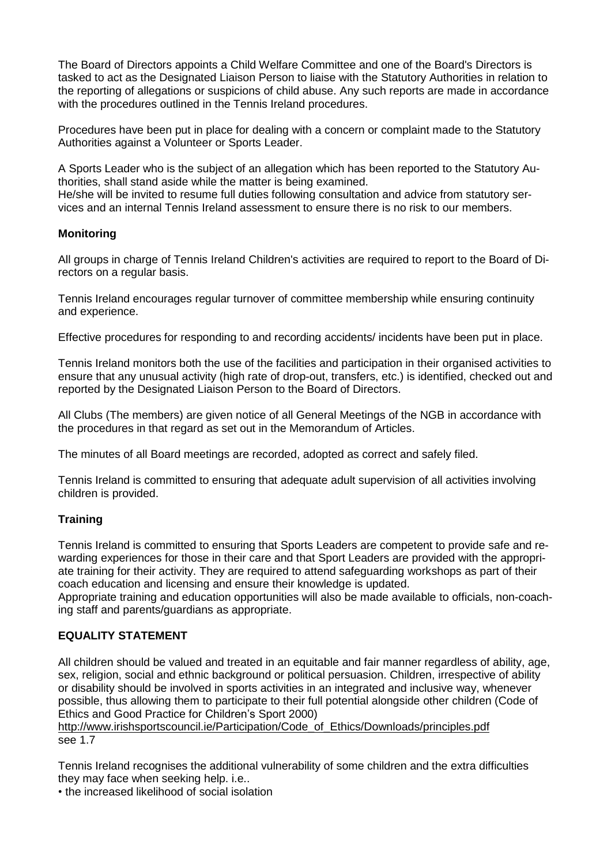The Board of Directors appoints a Child Welfare Committee and one of the Board's Directors is tasked to act as the Designated Liaison Person to liaise with the Statutory Authorities in relation to the reporting of allegations or suspicions of child abuse. Any such reports are made in accordance with the procedures outlined in the Tennis Ireland procedures.

Procedures have been put in place for dealing with a concern or complaint made to the Statutory Authorities against a Volunteer or Sports Leader.

A Sports Leader who is the subject of an allegation which has been reported to the Statutory Authorities, shall stand aside while the matter is being examined. He/she will be invited to resume full duties following consultation and advice from statutory services and an internal Tennis Ireland assessment to ensure there is no risk to our members.

### **Monitoring**

All groups in charge of Tennis Ireland Children's activities are required to report to the Board of Directors on a regular basis.

Tennis Ireland encourages regular turnover of committee membership while ensuring continuity and experience.

Effective procedures for responding to and recording accidents/ incidents have been put in place.

Tennis Ireland monitors both the use of the facilities and participation in their organised activities to ensure that any unusual activity (high rate of drop-out, transfers, etc.) is identified, checked out and reported by the Designated Liaison Person to the Board of Directors.

All Clubs (The members) are given notice of all General Meetings of the NGB in accordance with the procedures in that regard as set out in the Memorandum of Articles.

The minutes of all Board meetings are recorded, adopted as correct and safely filed.

Tennis Ireland is committed to ensuring that adequate adult supervision of all activities involving children is provided.

# **Training**

Tennis Ireland is committed to ensuring that Sports Leaders are competent to provide safe and rewarding experiences for those in their care and that Sport Leaders are provided with the appropriate training for their activity. They are required to attend safeguarding workshops as part of their coach education and licensing and ensure their knowledge is updated.

Appropriate training and education opportunities will also be made available to officials, non-coaching staff and parents/guardians as appropriate.

## **EQUALITY STATEMENT**

All children should be valued and treated in an equitable and fair manner regardless of ability, age, sex, religion, social and ethnic background or political persuasion. Children, irrespective of ability or disability should be involved in sports activities in an integrated and inclusive way, whenever possible, thus allowing them to participate to their full potential alongside other children (Code of Ethics and Good Practice for Children's Sport 2000)

[http://www.irishsportscouncil.ie/Participation/Code\\_of\\_Ethics/Downloads/principles.pdf](http://www.irishsportscouncil.ie/Participation/Code_of_Ethics/Downloads/principles.pdf) see 1.7

Tennis Ireland recognises the additional vulnerability of some children and the extra difficulties they may face when seeking help. i.e..

• the increased likelihood of social isolation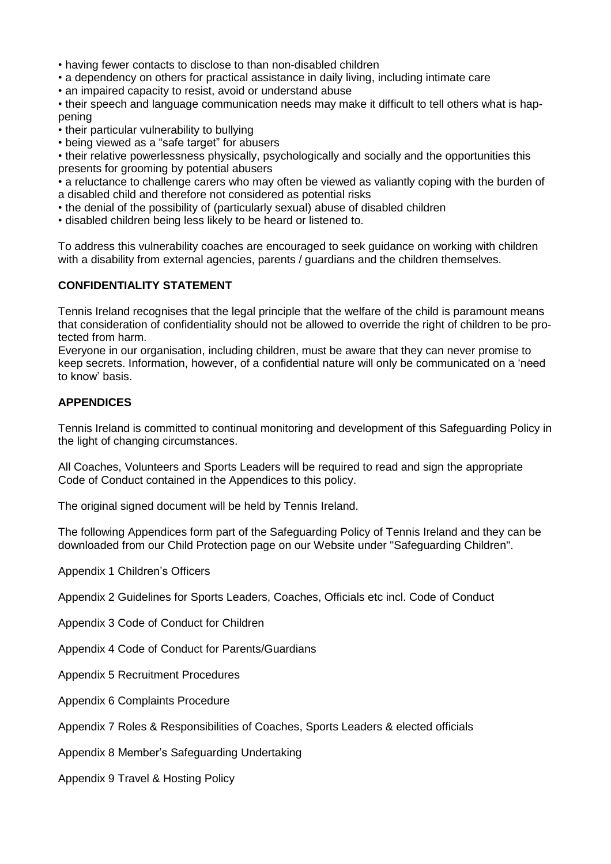• having fewer contacts to disclose to than non-disabled children

• a dependency on others for practical assistance in daily living, including intimate care

• an impaired capacity to resist, avoid or understand abuse

• their speech and language communication needs may make it difficult to tell others what is happening

• their particular vulnerability to bullying

• being viewed as a "safe target" for abusers

• their relative powerlessness physically, psychologically and socially and the opportunities this presents for grooming by potential abusers

• a reluctance to challenge carers who may often be viewed as valiantly coping with the burden of a disabled child and therefore not considered as potential risks

• the denial of the possibility of (particularly sexual) abuse of disabled children

• disabled children being less likely to be heard or listened to.

To address this vulnerability coaches are encouraged to seek guidance on working with children with a disability from external agencies, parents / guardians and the children themselves.

### **CONFIDENTIALITY STATEMENT**

Tennis Ireland recognises that the legal principle that the welfare of the child is paramount means that consideration of confidentiality should not be allowed to override the right of children to be protected from harm.

Everyone in our organisation, including children, must be aware that they can never promise to keep secrets. Information, however, of a confidential nature will only be communicated on a 'need to know' basis.

### **APPENDICES**

Tennis Ireland is committed to continual monitoring and development of this Safeguarding Policy in the light of changing circumstances.

All Coaches, Volunteers and Sports Leaders will be required to read and sign the appropriate Code of Conduct contained in the Appendices to this policy.

The original signed document will be held by Tennis Ireland.

The following Appendices form part of the Safeguarding Policy of Tennis Ireland and they can be downloaded from our Child Protection page on our Website under "Safeguarding Children".

Appendix 1 Children's Officers

Appendix 2 Guidelines for Sports Leaders, Coaches, Officials etc incl. Code of Conduct

Appendix 3 Code of Conduct for Children

Appendix 4 Code of Conduct for Parents/Guardians

Appendix 5 Recruitment Procedures

Appendix 6 Complaints Procedure

Appendix 7 Roles & Responsibilities of Coaches, Sports Leaders & elected officials

Appendix 8 Member's Safeguarding Undertaking

Appendix 9 Travel & Hosting Policy